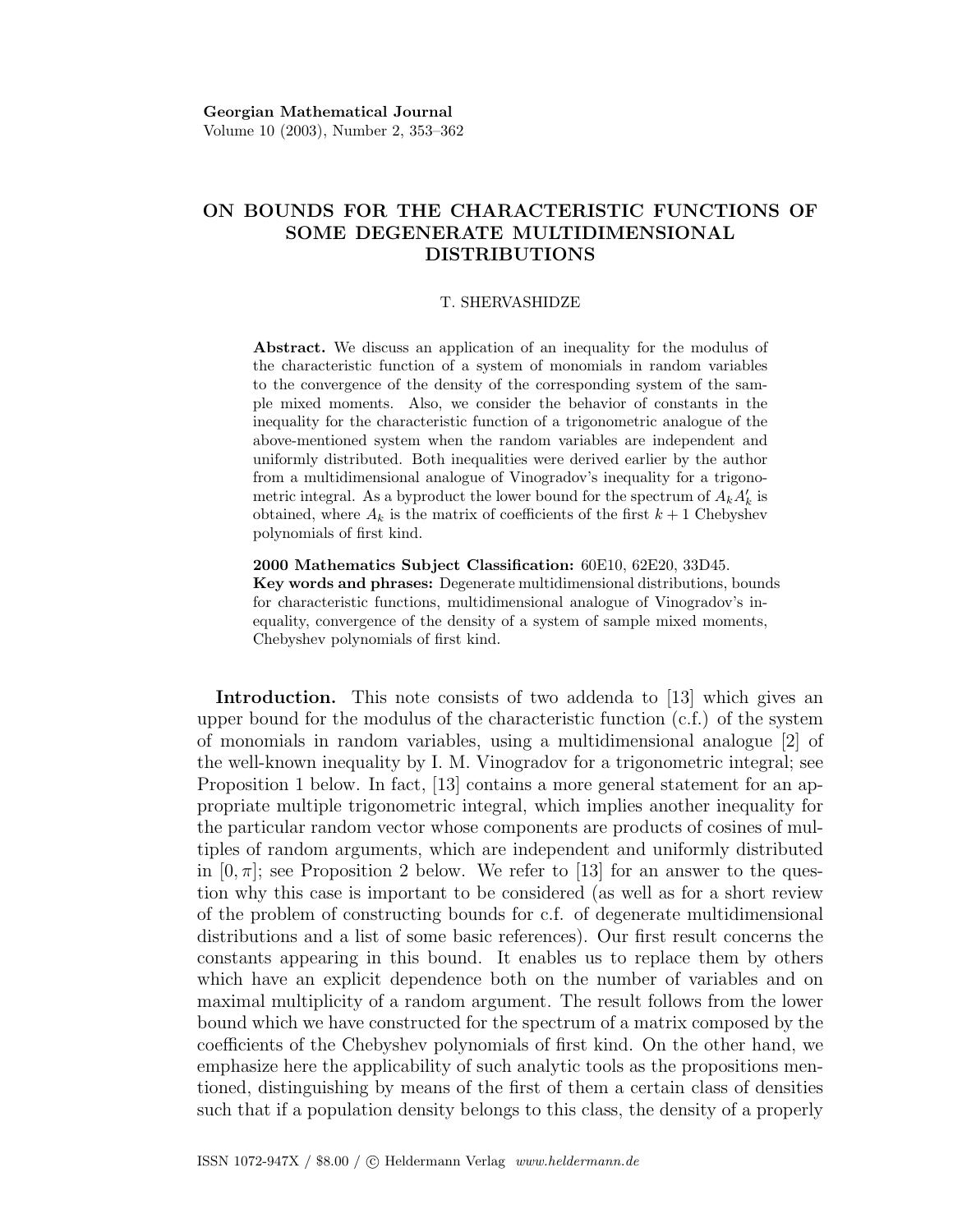# ON BOUNDS FOR THE CHARACTERISTIC FUNCTIONS OF SOME DEGENERATE MULTIDIMENSIONAL DISTRIBUTIONS

#### T. SHERVASHIDZE

Abstract. We discuss an application of an inequality for the modulus of the characteristic function of a system of monomials in random variables to the convergence of the density of the corresponding system of the sample mixed moments. Also, we consider the behavior of constants in the inequality for the characteristic function of a trigonometric analogue of the above-mentioned system when the random variables are independent and uniformly distributed. Both inequalities were derived earlier by the author from a multidimensional analogue of Vinogradov's inequality for a trigonometric integral. As a byproduct the lower bound for the spectrum of  $A_k A_k'$  is obtained, where  $A_k$  is the matrix of coefficients of the first  $k+1$  Chebyshev polynomials of first kind.

2000 Mathematics Subject Classification: 60E10, 62E20, 33D45. Key words and phrases: Degenerate multidimensional distributions, bounds for characteristic functions, multidimensional analogue of Vinogradov's inequality, convergence of the density of a system of sample mixed moments, Chebyshev polynomials of first kind.

Introduction. This note consists of two addenda to [13] which gives an upper bound for the modulus of the characteristic function  $(c.f.)$  of the system of monomials in random variables, using a multidimensional analogue [2] of the well-known inequality by I. M. Vinogradov for a trigonometric integral; see Proposition 1 below. In fact, [13] contains a more general statement for an appropriate multiple trigonometric integral, which implies another inequality for the particular random vector whose components are products of cosines of multiples of random arguments, which are independent and uniformly distributed in  $[0, \pi]$ ; see Proposition 2 below. We refer to [13] for an answer to the question why this case is important to be considered (as well as for a short review of the problem of constructing bounds for c.f. of degenerate multidimensional distributions and a list of some basic references). Our first result concerns the constants appearing in this bound. It enables us to replace them by others which have an explicit dependence both on the number of variables and on maximal multiplicity of a random argument. The result follows from the lower bound which we have constructed for the spectrum of a matrix composed by the coefficients of the Chebyshev polynomials of first kind. On the other hand, we emphasize here the applicability of such analytic tools as the propositions mentioned, distinguishing by means of the first of them a certain class of densities such that if a population density belongs to this class, the density of a properly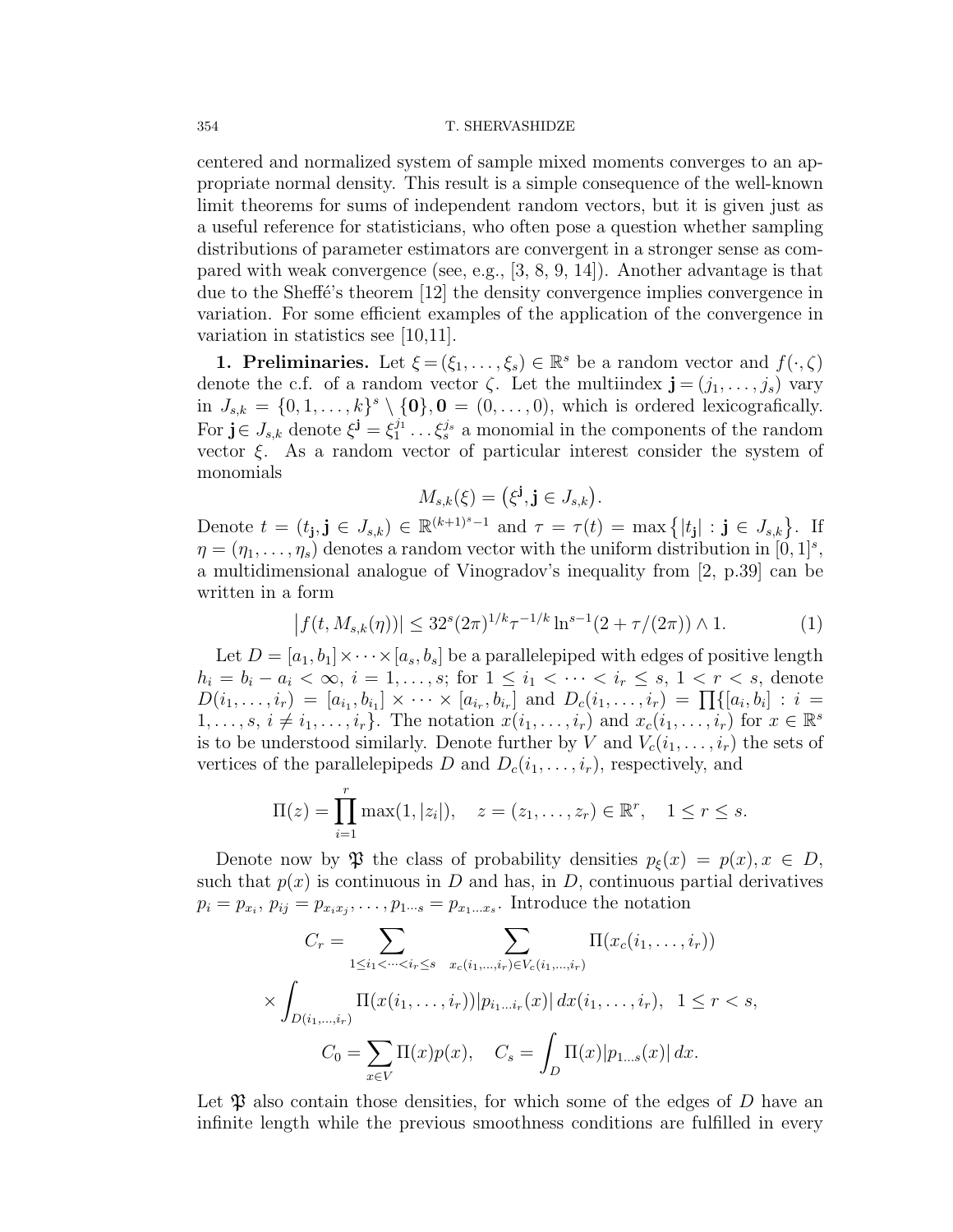centered and normalized system of sample mixed moments converges to an appropriate normal density. This result is a simple consequence of the well-known limit theorems for sums of independent random vectors, but it is given just as a useful reference for statisticians, who often pose a question whether sampling distributions of parameter estimators are convergent in a stronger sense as compared with weak convergence (see, e.g., [3, 8, 9, 14]). Another advantage is that due to the Sheff'e's theorem  $[12]$  the density convergence implies convergence in variation. For some efficient examples of the application of the convergence in variation in statistics see [10,11].

**1. Preliminaries.** Let  $\xi = (\xi_1, \ldots, \xi_s) \in \mathbb{R}^s$  be a random vector and  $f(\cdot, \zeta)$ denote the c.f. of a random vector  $\zeta$ . Let the multiindex  $\mathbf{j} = (j_1, \ldots, j_s)$  vary in  $J_{s,k} = \{0,1,\ldots,k\}^s \setminus \{\mathbf{0}\}, \mathbf{0} = (0,\ldots,0)$ , which is ordered lexicografically. For  $\mathbf{j} \in J_{s,k}$  denote  $\xi^{\mathbf{j}} = \xi_1^{j_1} \dots \xi_s^{j_s}$  a monomial in the components of the random vector  $\xi$ . As a random vector of particular interest consider the system of monomials

$$
M_{s,k}(\xi) = \left(\xi^{\mathbf{j}}, \mathbf{j} \in J_{s,k}\right).
$$

Denote  $t = (t_{\mathbf{j}}, \mathbf{j} \in J_{s,k}) \in \mathbb{R}^{(k+1)^s-1}$  and  $\tau = \tau(t) = \max\{|t_{\mathbf{j}}| : \mathbf{j} \in J_{s,k}\}\.$  If  $\eta = (\eta_1, \ldots, \eta_s)$  denotes a random vector with the uniform distribution in  $[0, 1]^s$ , a multidimensional analogue of Vinogradov's inequality from [2, p.39] can be written in a form  $\overline{a}$ 

$$
|f(t, M_{s,k}(\eta))| \le 32^s (2\pi)^{1/k} \tau^{-1/k} \ln^{s-1}(2+\tau/(2\pi)) \wedge 1. \tag{1}
$$

Let  $D = [a_1, b_1] \times \cdots \times [a_s, b_s]$  be a parallelepiped with edges of positive length  $h_i = b_i - a_i < \infty$ ,  $i = 1, ..., s$ ; for  $1 \leq i_1 < \cdots < i_r \leq s$ ,  $1 < r < s$ , denote  $D(i_1, \ldots, i_r) = [a_{i_1}, b_{i_1}] \times \cdots \times [a_{i_r}, b_{i_r}]$  and  $D_c(i_1, \ldots, i_r) = \prod\{[a_i, b_i] : i =$  $1, \ldots, s, i \neq i_1, \ldots, i_r$ . The notation  $x(i_1, \ldots, i_r)$  and  $x_c(i_1, \ldots, i_r)$  for  $x \in \mathbb{R}^s$ is to be understood similarly. Denote further by V and  $V_c(i_1, \ldots, i_r)$  the sets of vertices of the parallelepipeds D and  $D_c(i_1, \ldots, i_r)$ , respectively, and

$$
\Pi(z) = \prod_{i=1}^{r} \max(1, |z_i|), \quad z = (z_1, \dots, z_r) \in \mathbb{R}^r, \quad 1 \leq r \leq s.
$$

Denote now by  $\mathfrak P$  the class of probability densities  $p_{\xi}(x) = p(x), x \in D$ , such that  $p(x)$  is continuous in D and has, in D, continuous partial derivatives  $p_i = p_{x_i}, p_{ij} = p_{x_i x_j}, \dots, p_{1 \dots s} = p_{x_1 \dots x_s}$ . Introduce the notation

$$
C_r = \sum_{1 \le i_1 < \dots < i_r \le s} \sum_{x_c(i_1, \dots, i_r) \in V_c(i_1, \dots, i_r)} \Pi(x_c(i_1, \dots, i_r))
$$
\n
$$
\times \int_{D(i_1, \dots, i_r)} \Pi(x(i_1, \dots, i_r)) |p_{i_1 \dots i_r}(x)| \, dx(i_1, \dots, i_r), \quad 1 \le r < s,
$$
\n
$$
C_0 = \sum_{x \in V} \Pi(x) p(x), \quad C_s = \int_D \Pi(x) |p_{1 \dots s}(x)| \, dx.
$$

Let  $\mathfrak P$  also contain those densities, for which some of the edges of D have an infinite length while the previous smoothness conditions are fulfilled in every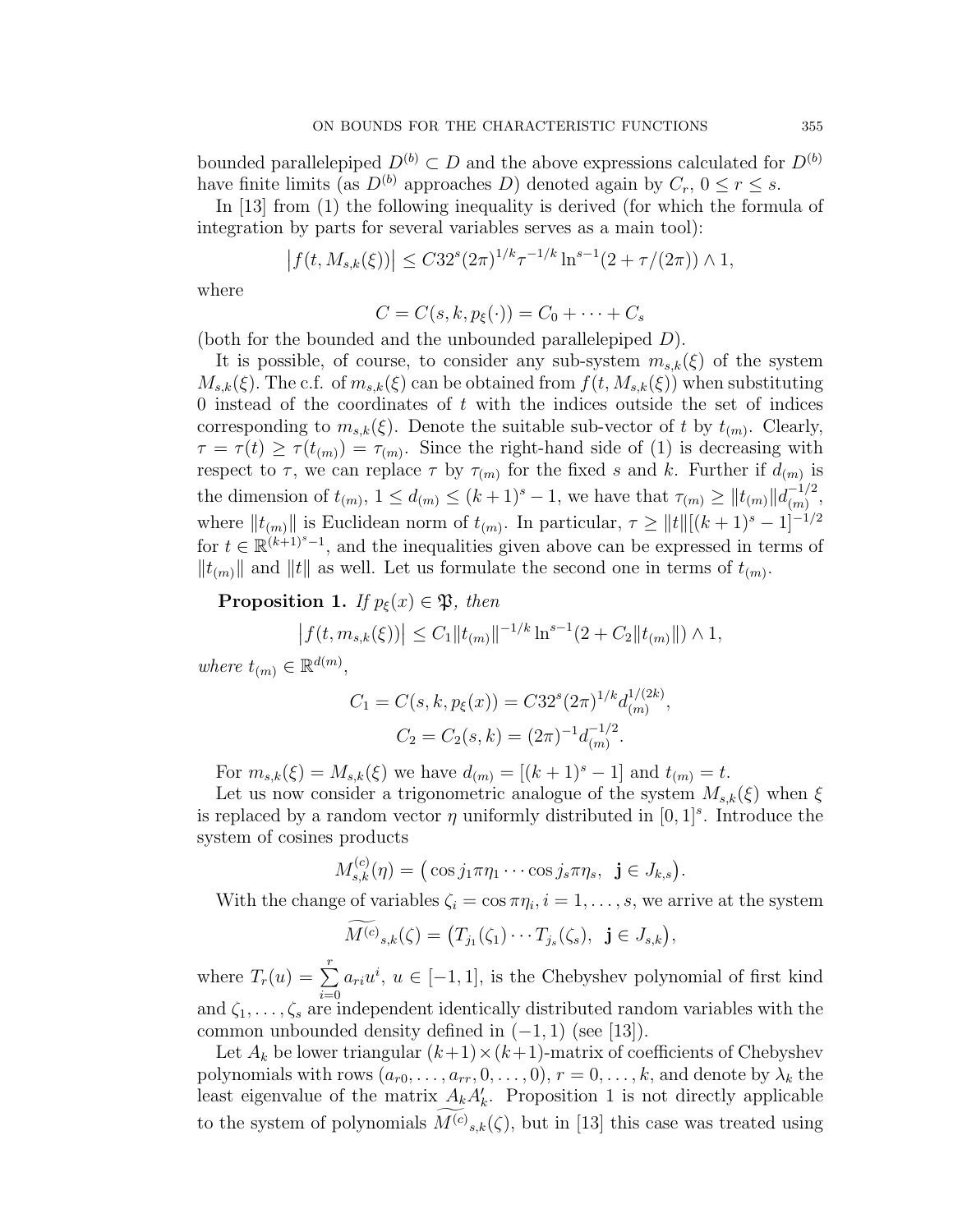bounded parallelepiped  $D^{(b)} \subset D$  and the above expressions calculated for  $D^{(b)}$ have finite limits (as  $D^{(b)}$  approaches D) denoted again by  $C_r$ ,  $0 \le r \le s$ .

In [13] from (1) the following inequality is derived (for which the formula of integration by parts for several variables serves as a main tool):

$$
\left| f(t, M_{s,k}(\xi)) \right| \leq C 32^s (2\pi)^{1/k} \tau^{-1/k} \ln^{s-1} (2 + \tau/(2\pi)) \wedge 1,
$$

where

$$
C = C(s, k, p_{\xi}(\cdot)) = C_0 + \cdots + C_s
$$

(both for the bounded and the unbounded parallelepiped D).

It is possible, of course, to consider any sub-system  $m_{s,k}(\xi)$  of the system  $M_{s,k}(\xi)$ . The c.f. of  $m_{s,k}(\xi)$  can be obtained from  $f(t, M_{s,k}(\xi))$  when substituting 0 instead of the coordinates of  $t$  with the indices outside the set of indices corresponding to  $m_{s,k}(\xi)$ . Denote the suitable sub-vector of t by  $t_{(m)}$ . Clearly,  $\tau = \tau(t) \geq \tau(t_{(m)}) = \tau_{(m)}$ . Since the right-hand side of (1) is decreasing with respect to  $\tau$ , we can replace  $\tau$  by  $\tau_{(m)}$  for the fixed s and k. Further if  $d_{(m)}$  is the dimension of  $t_{(m)}$ ,  $1 \le d_{(m)} \le (k+1)^s - 1$ , we have that  $\tau_{(m)} \ge ||t_{(m)}|| \frac{d^{-1/2}}{dx_{(m)}}$  $\frac{(-1/2)}{(m)},$ where  $||t_{(m)}||$  is Euclidean norm of  $t_{(m)}$ . In particular,  $\tau \geq ||t||[(k+1)^s - 1]^{-1/2}$ for  $t \in \mathbb{R}^{(k+1)^s-1}$ , and the inequalities given above can be expressed in terms of  $||t_{(m)}||$  and  $||t||$  as well. Let us formulate the second one in terms of  $t_{(m)}$ .

**Proposition 1.** If  $p_{\xi}(x) \in \mathfrak{P}$ , then

$$
\left|f(t, m_{s,k}(\xi))\right| \leq C_1 \|t_{(m)}\|^{-1/k} \ln^{s-1}(2 + C_2 \|t_{(m)}\|) \wedge 1,
$$

where  $t_{(m)} \in \mathbb{R}^{d(m)}$ ,

$$
C_1 = C(s, k, p_{\xi}(x)) = C32^s (2\pi)^{1/k} d_{(m)}^{1/(2k)}
$$
  

$$
C_2 = C_2(s, k) = (2\pi)^{-1} d_{(m)}^{-1/2}.
$$

,

For  $m_{s,k}(\xi) = M_{s,k}(\xi)$  we have  $d_{(m)} = [(k+1)^s - 1]$  and  $t_{(m)} = t$ .

Let us now consider a trigonometric analogue of the system  $M_{s,k}(\xi)$  when  $\xi$ is replaced by a random vector  $\eta$  uniformly distributed in [0, 1]<sup>s</sup>. Introduce the system of cosines products

$$
M_{s,k}^{(c)}(\eta) = (\cos j_1 \pi \eta_1 \cdots \cos j_s \pi \eta_s, \mathbf{j} \in J_{k,s}).
$$

With the change of variables  $\zeta_i = \cos \pi \eta_i, i = 1, \ldots, s$ , we arrive at the system

$$
\widetilde{M^{(c)}}_{s,k}(\zeta) = \big(T_{j_1}(\zeta_1) \cdots T_{j_s}(\zeta_s), \ \mathbf{j} \in J_{s,k}\big),
$$

where  $T_r(u) = \sum_{r=1}^{r}$  $i=0$  $a_{ri}u^i, u \in [-1,1],$  is the Chebyshev polynomial of first kind and  $\zeta_1, \ldots, \zeta_s$  are independent identically distributed random variables with the common unbounded density defined in  $(-1, 1)$  (see [13]).

Let  $A_k$  be lower triangular  $(k+1) \times (k+1)$ -matrix of coefficients of Chebyshev polynomials with rows  $(a_{r0}, \ldots, a_{rr}, 0, \ldots, 0), r = 0, \ldots, k$ , and denote by  $\lambda_k$  the least eigenvalue of the matrix  $A_k A'_k$ . Proposition 1 is not directly applicable to the system of polynomials  $\widetilde{M^{(c)}}_{s,k}(\zeta)$ , but in [13] this case was treated using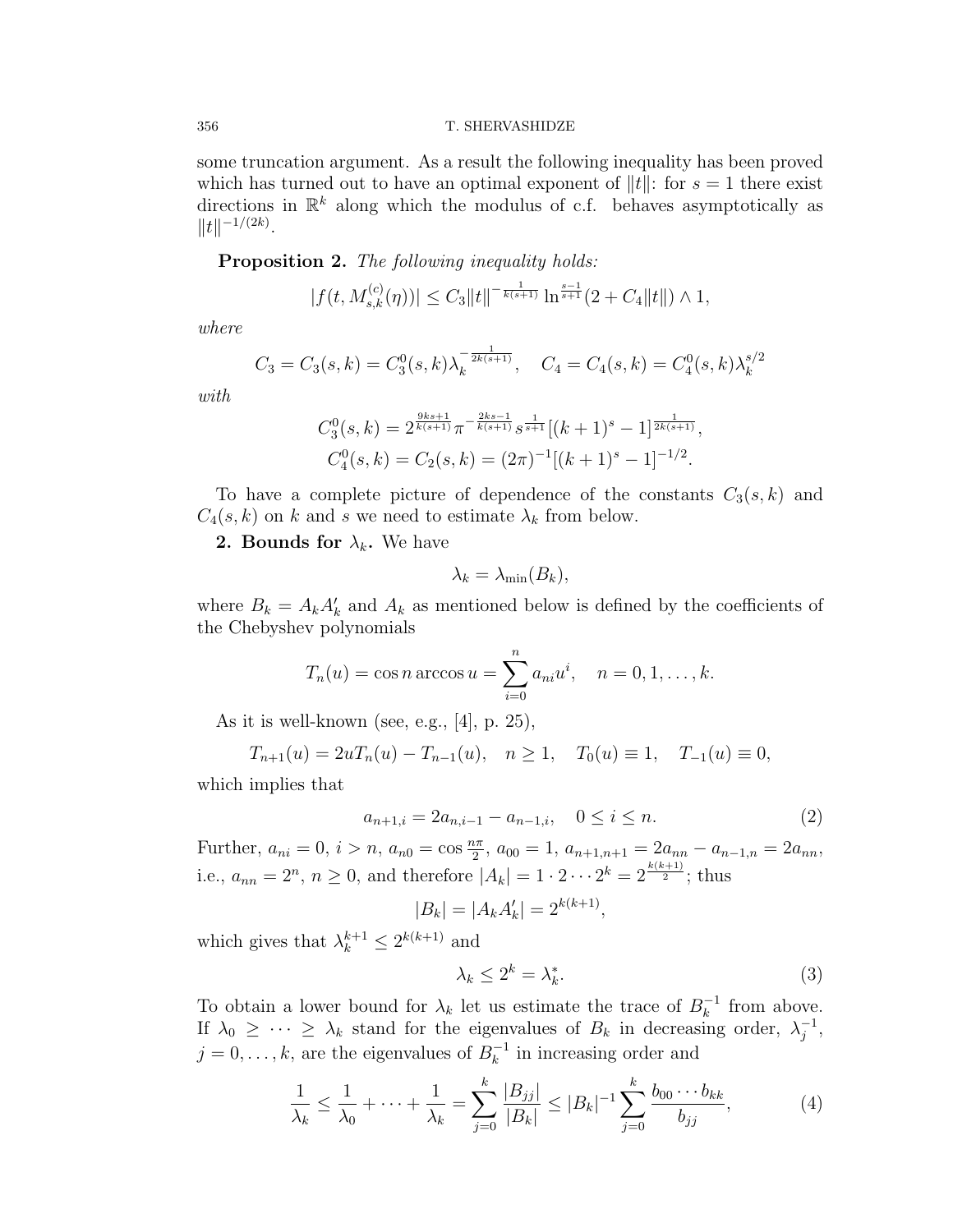#### 356 T. SHERVASHIDZE

some truncation argument. As a result the following inequality has been proved which has turned out to have an optimal exponent of  $||t||$ : for  $s = 1$  there exist directions in  $\mathbb{R}^k$  along which the modulus of c.f. behaves asymptotically as  $||t||^{-1/(2k)}$ .

Proposition 2. The following inequality holds:

$$
|f(t, M_{s,k}^{(c)}(\eta))| \leq C_3 \|t\|^{-\frac{1}{k(s+1)}} \ln^{\frac{s-1}{s+1}}(2+C_4 \|t\|) \wedge 1,
$$

where

$$
C_3 = C_3(s,k) = C_3^0(s,k)\lambda_k^{-\frac{1}{2k(s+1)}}, \quad C_4 = C_4(s,k) = C_4^0(s,k)\lambda_k^{s/2}
$$

with

$$
C_3^0(s,k) = 2^{\frac{9ks+1}{k(s+1)}} \pi^{-\frac{2ks-1}{k(s+1)}} s^{\frac{1}{s+1}} [(k+1)^s - 1]^{\frac{1}{2k(s+1)}},
$$
  

$$
C_4^0(s,k) = C_2(s,k) = (2\pi)^{-1} [(k+1)^s - 1]^{-1/2}.
$$

To have a complete picture of dependence of the constants  $C_3(s, k)$  and  $C_4(s, k)$  on k and s we need to estimate  $\lambda_k$  from below.

**2. Bounds for**  $\lambda_k$ **.** We have

$$
\lambda_k = \lambda_{\min}(B_k),
$$

where  $B_k = A_k A'_k$  and  $A_k$  as mentioned below is defined by the coefficients of the Chebyshev polynomials

$$
T_n(u) = \cos n \arccos u = \sum_{i=0}^n a_{ni}u^i, \quad n = 0, 1, ..., k.
$$

As it is well-known (see, e.g.,  $[4]$ , p. 25),

$$
T_{n+1}(u) = 2uT_n(u) - T_{n-1}(u), \quad n \ge 1, \quad T_0(u) \equiv 1, \quad T_{-1}(u) \equiv 0,
$$

which implies that

$$
a_{n+1,i} = 2a_{n,i-1} - a_{n-1,i}, \quad 0 \le i \le n.
$$
\n<sup>(2)</sup>

Further,  $a_{ni} = 0$ ,  $i > n$ ,  $a_{n0} = \cos \frac{n\pi}{2}$ ,  $a_{00} = 1$ ,  $a_{n+1,n+1} = 2a_{nn} - a_{n-1,n} = 2a_{nn}$ , i.e.,  $a_{nn} = 2^n$ ,  $n \ge 0$ , and therefore  $|A_k| = 1 \cdot 2 \cdots 2^k = 2^{\frac{k(k+1)}{2}}$ ; thus

$$
|B_k| = |A_k A'_k| = 2^{k(k+1)},
$$

which gives that  $\lambda_k^{k+1} \leq 2^{k(k+1)}$  and

$$
\lambda_k \le 2^k = \lambda_k^*.\tag{3}
$$

To obtain a lower bound for  $\lambda_k$  let us estimate the trace of  $B_k^{-1}$  $\overline{k}^{-1}$  from above. If  $\lambda_0 \geq \cdots \geq \lambda_k$  stand for the eigenvalues of  $B_k$  in decreasing order,  $\lambda_i^{-1}$  $\frac{-1}{j}$ ,  $j = 0, \ldots, k$ , are the eigenvalues of  $B_k^{-1}$  $\kappa^{-1}$  in increasing order and

$$
\frac{1}{\lambda_k} \le \frac{1}{\lambda_0} + \dots + \frac{1}{\lambda_k} = \sum_{j=0}^k \frac{|B_{jj}|}{|B_k|} \le |B_k|^{-1} \sum_{j=0}^k \frac{b_{00} \cdots b_{kk}}{b_{jj}},\tag{4}
$$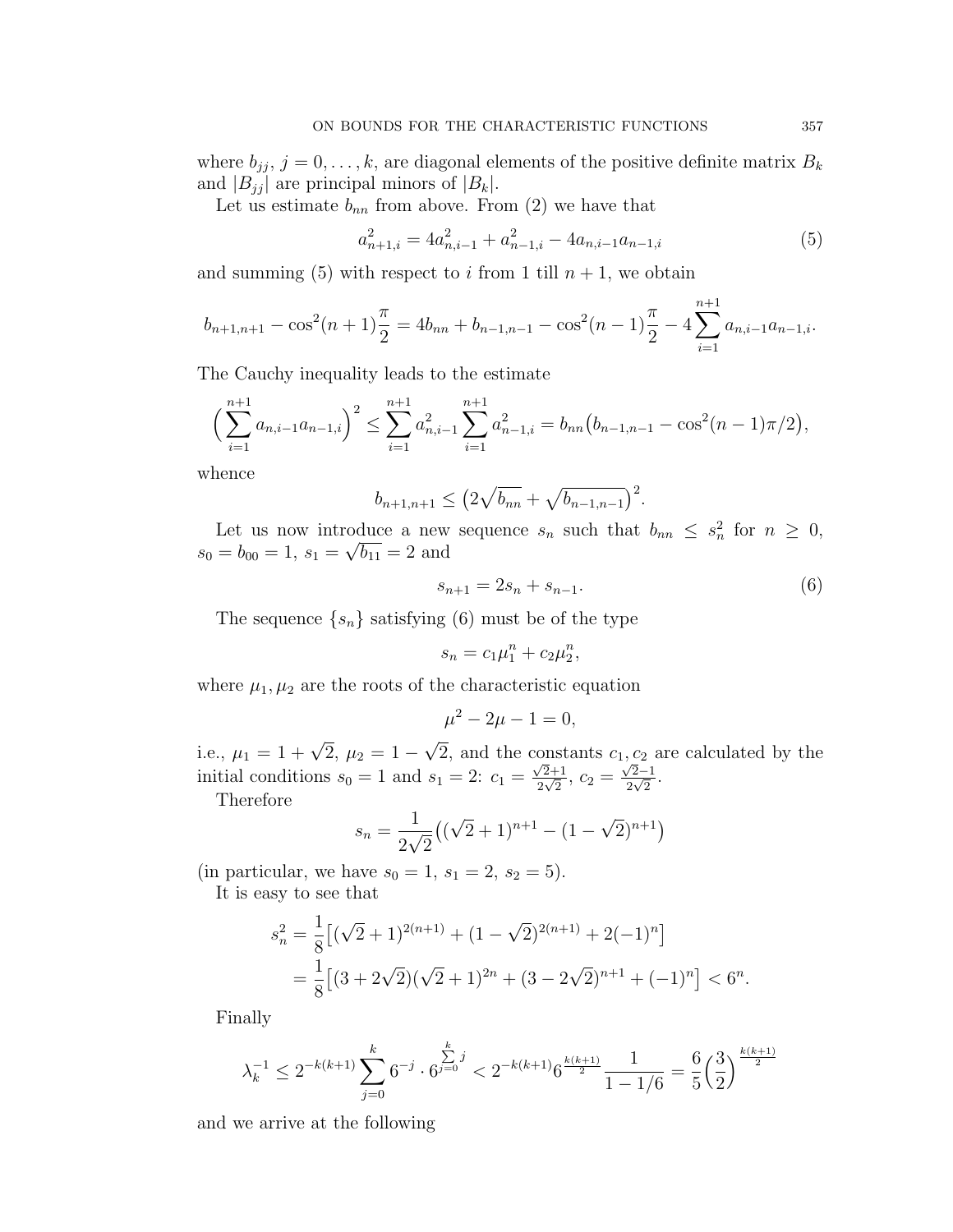where  $b_{jj}$ ,  $j = 0, \ldots, k$ , are diagonal elements of the positive definite matrix  $B_k$ and  $|B_{jj}|$  are principal minors of  $|B_k|$ .

Let us estimate  $b_{nn}$  from above. From (2) we have that

$$
a_{n+1,i}^2 = 4a_{n,i-1}^2 + a_{n-1,i}^2 - 4a_{n,i-1}a_{n-1,i}
$$
\n<sup>(5)</sup>

and summing (5) with respect to i from 1 till  $n + 1$ , we obtain

$$
b_{n+1,n+1} - \cos^2(n+1)\frac{\pi}{2} = 4b_{nn} + b_{n-1,n-1} - \cos^2(n-1)\frac{\pi}{2} - 4\sum_{i=1}^{n+1} a_{n,i-1}a_{n-1,i}.
$$

The Cauchy inequality leads to the estimate

$$
\left(\sum_{i=1}^{n+1} a_{n,i-1}a_{n-1,i}\right)^2 \le \sum_{i=1}^{n+1} a_{n,i-1}^2 \sum_{i=1}^{n+1} a_{n-1,i}^2 = b_{nn} \left(b_{n-1,n-1} - \cos^2(n-1)\pi/2\right),
$$

whence

$$
b_{n+1,n+1} \le (2\sqrt{b_{nn}} + \sqrt{b_{n-1,n-1}})^2.
$$

Let us now introduce a new sequence  $s_n$  such that  $b_{nn} \leq s_n^2$  for  $n \geq 0$ ,  $s_0 = b_{00} = 1, s_1 = \sqrt{b_{11}} = 2$  and

$$
s_{n+1} = 2s_n + s_{n-1}.\tag{6}
$$

The sequence  $\{s_n\}$  satisfying (6) must be of the type

$$
s_n = c_1 \mu_1^n + c_2 \mu_2^n,
$$

where  $\mu_1, \mu_2$  are the roots of the characteristic equation

$$
\mu^2 - 2\mu - 1 = 0,
$$

i.e.,  $\mu_1 = 1 + \sqrt{2}, \mu_2 = 1 -$ √ 2, and the constants  $c_1, c_2$  are calculated by the initial conditions  $s_0 = 1$  and  $s_1 = 2$ :  $c_1 =$ √ 2+1  $\frac{2+1}{2\sqrt{2}}, c_2 =$ √ 2−1  $\frac{2-1}{2\sqrt{2}}.$ Therefore

$$
s_n = \frac{1}{2\sqrt{2}}\left((\sqrt{2}+1)^{n+1} - (1-\sqrt{2})^{n+1}\right)
$$

(in particular, we have  $s_0 = 1, s_1 = 2, s_2 = 5$ ). It is easy to see that

$$
s_n^2 = \frac{1}{8} \left[ (\sqrt{2} + 1)^{2(n+1)} + (1 - \sqrt{2})^{2(n+1)} + 2(-1)^n \right]
$$
  
= 
$$
\frac{1}{8} \left[ (3 + 2\sqrt{2})(\sqrt{2} + 1)^{2n} + (3 - 2\sqrt{2})^{n+1} + (-1)^n \right] < 6^n.
$$

Finally

$$
\lambda_k^{-1} \le 2^{-k(k+1)} \sum_{j=0}^k 6^{-j} \cdot 6^{\sum_{j=0}^k j} < 2^{-k(k+1)} 6^{\frac{k(k+1)}{2}} \frac{1}{1 - 1/6} = \frac{6}{5} \left(\frac{3}{2}\right)^{\frac{k(k+1)}{2}}
$$

and we arrive at the following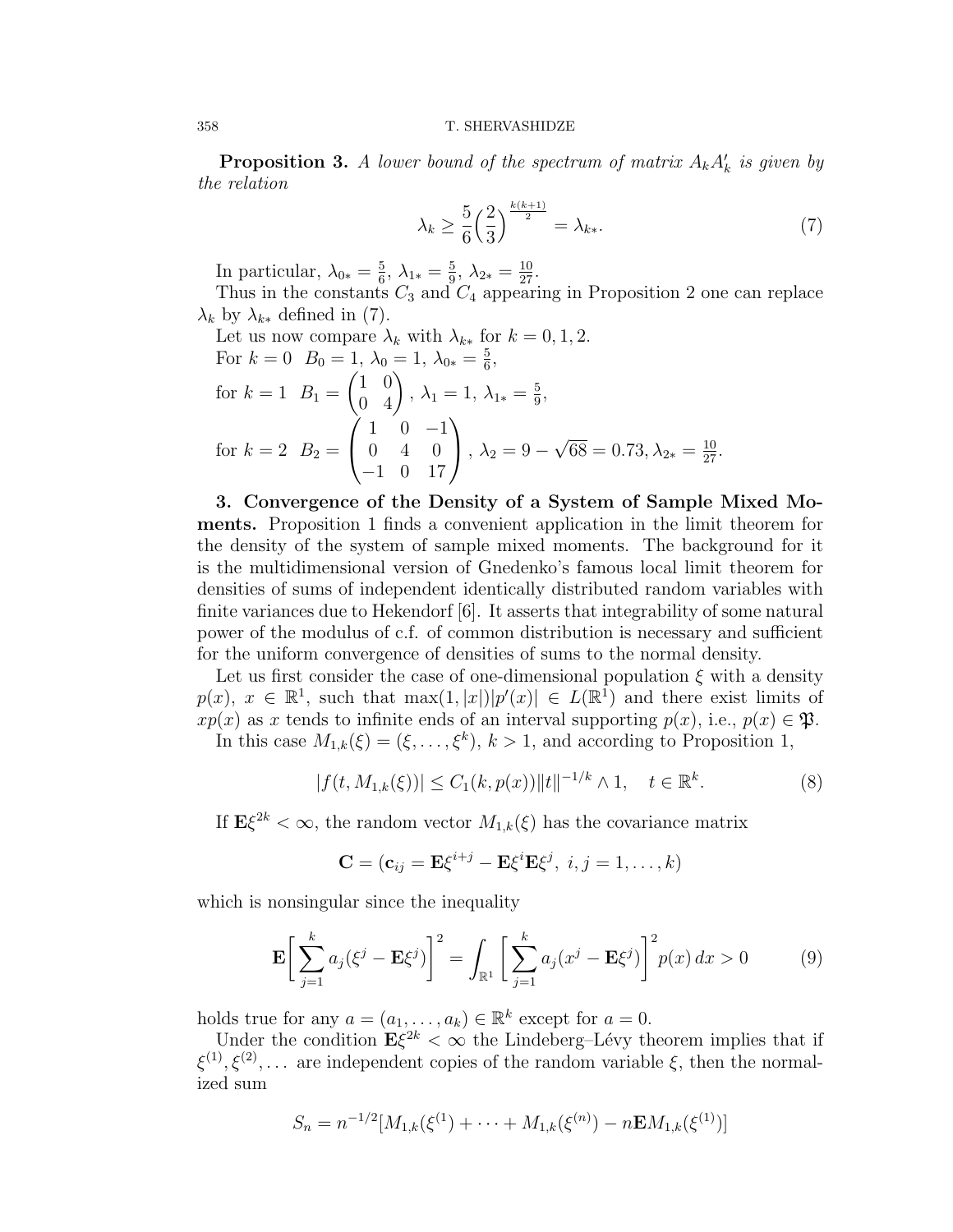**Proposition 3.** A lower bound of the spectrum of matrix  $A_k A_k$  is given by the relation

$$
\lambda_k \ge \frac{5}{6} \left(\frac{2}{3}\right)^{\frac{k(k+1)}{2}} = \lambda_{k*}.
$$
 (7)

In particular,  $\lambda_{0*} = \frac{5}{6}$  $\frac{5}{6}$ ,  $\lambda_{1*} = \frac{5}{9}$  $\frac{5}{9}, \lambda_{2*} = \frac{10}{27}.$ 

Thus in the constants  $C_3$  and  $C_4$  appearing in Proposition 2 one can replace  $\lambda_k$  by  $\lambda_{k*}$  defined in (7). Let us now compare λ<sup>k</sup> with λk<sup>∗</sup> for k = 0, 1, 2.

Let us now compare 
$$
\lambda_k
$$
 with  $\lambda_{k*}$  for  $k = 0, 1, 2$ .  
\nFor  $k = 0$   $B_0 = 1$ ,  $\lambda_0 = 1$ ,  $\lambda_{0*} = \frac{5}{6}$ ,  
\nfor  $k = 1$   $B_1 = \begin{pmatrix} 1 & 0 \\ 0 & 4 \end{pmatrix}$ ,  $\lambda_1 = 1$ ,  $\lambda_{1*} = \frac{5}{9}$ ,  
\nfor  $k = 2$   $B_2 = \begin{pmatrix} 1 & 0 & -1 \\ 0 & 4 & 0 \\ -1 & 0 & 17 \end{pmatrix}$ ,  $\lambda_2 = 9 - \sqrt{68} = 0.73$ ,  $\lambda_{2*} = \frac{10}{27}$ .

3. Convergence of the Density of a System of Sample Mixed Moments. Proposition 1 finds a convenient application in the limit theorem for the density of the system of sample mixed moments. The background for it is the multidimensional version of Gnedenko's famous local limit theorem for densities of sums of independent identically distributed random variables with finite variances due to Hekendorf [6]. It asserts that integrability of some natural power of the modulus of c.f. of common distribution is necessary and sufficient for the uniform convergence of densities of sums to the normal density.

Let us first consider the case of one-dimensional population  $\xi$  with a density  $p(x), x \in \mathbb{R}^1$ , such that  $\max(1, |x|)|p'(x)| \in L(\mathbb{R}^1)$  and there exist limits of  $xp(x)$  as x tends to infinite ends of an interval supporting  $p(x)$ , i.e.,  $p(x) \in \mathfrak{P}$ .

In this case  $M_{1,k}(\xi) = (\xi, \ldots, \xi^k), k > 1$ , and according to Proposition 1,

$$
|f(t, M_{1,k}(\xi))| \le C_1(k, p(x)) \|t\|^{-1/k} \wedge 1, \quad t \in \mathbb{R}^k. \tag{8}
$$

If  $E\xi^{2k} < \infty$ , the random vector  $M_{1,k}(\xi)$  has the covariance matrix

$$
\mathbf{C} = (\mathbf{c}_{ij} = \mathbf{E}\xi^{i+j} - \mathbf{E}\xi^i\mathbf{E}\xi^j, i, j = 1, \dots, k)
$$

which is nonsingular since the inequality

$$
\mathbf{E}\left[\sum_{j=1}^{k} a_j (\xi^j - \mathbf{E}\xi^j)\right]^2 = \int_{\mathbb{R}^1} \left[\sum_{j=1}^{k} a_j (x^j - \mathbf{E}\xi^j)\right]^2 p(x) dx > 0 \tag{9}
$$

holds true for any  $a = (a_1, \ldots, a_k) \in \mathbb{R}^k$  except for  $a = 0$ .

Under the condition  $\mathbf{E}\xi^{2k} < \infty$  the Lindeberg–Lévy theorem implies that if  $\xi^{(1)}, \xi^{(2)}, \ldots$  are independent copies of the random variable  $\xi$ , then the normalized sum

$$
S_n = n^{-1/2} [M_{1,k}(\xi^{(1)}) + \cdots + M_{1,k}(\xi^{(n)}) - n \mathbf{E} M_{1,k}(\xi^{(1)})]
$$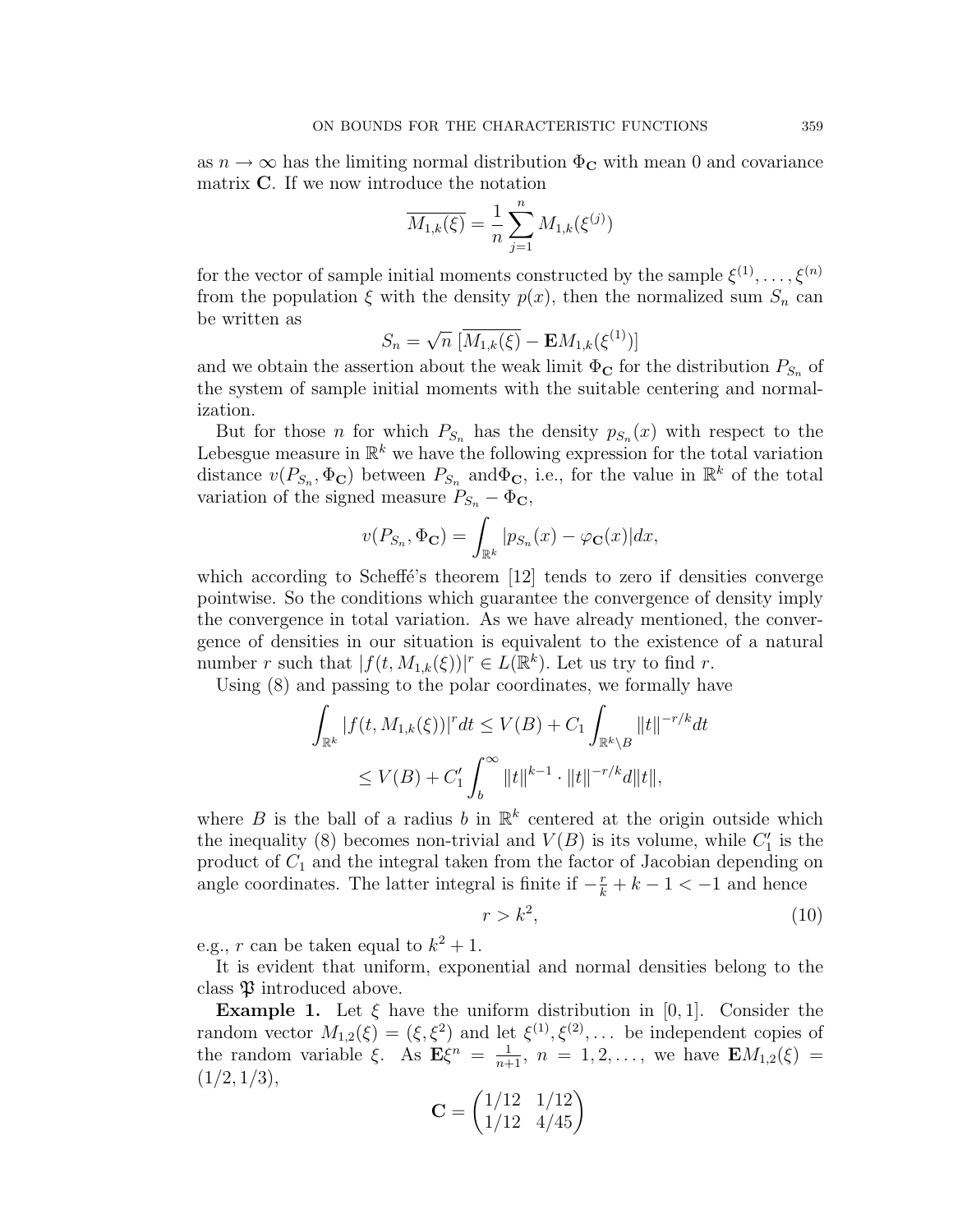as  $n \to \infty$  has the limiting normal distribution  $\Phi_C$  with mean 0 and covariance matrix C. If we now introduce the notation

$$
\overline{M_{1,k}(\xi)} = \frac{1}{n} \sum_{j=1}^{n} M_{1,k}(\xi^{(j)})
$$

for the vector of sample initial moments constructed by the sample  $\xi^{(1)}, \ldots, \xi^{(n)}$ from the population  $\xi$  with the density  $p(x)$ , then the normalized sum  $S_n$  can be written as √

$$
S_n = \sqrt{n} \, [\overline{M_{1,k}(\xi)} - \mathbf{E} M_{1,k}(\xi^{(1)})]
$$

and we obtain the assertion about the weak limit  $\Phi_{\mathbf{C}}$  for the distribution  $P_{S_n}$  of the system of sample initial moments with the suitable centering and normalization.

But for those *n* for which  $P_{S_n}$  has the density  $p_{S_n}(x)$  with respect to the Lebesgue measure in  $\mathbb{R}^k$  we have the following expression for the total variation distance  $v(P_{S_n}, \Phi_{\mathbf{C}})$  between  $P_{S_n}$  and  $\Phi_{\mathbf{C}}$ , i.e., for the value in  $\mathbb{R}^k$  of the total variation of the signed measure  $P_{S_n} - \Phi_{\mathbf{C}},$ 

$$
v(P_{S_n}, \Phi_{\mathbf{C}}) = \int_{\mathbb{R}^k} |p_{S_n}(x) - \varphi_{\mathbf{C}}(x)| dx,
$$

which according to Scheffe's theorem  $[12]$  tends to zero if densities converge pointwise. So the conditions which guarantee the convergence of density imply the convergence in total variation. As we have already mentioned, the convergence of densities in our situation is equivalent to the existence of a natural number r such that  $|f(t, M_{1,k}(\xi))|^r \in L(\mathbb{R}^k)$ . Let us try to find r.

Using (8) and passing to the polar coordinates, we formally have z passing to the point coordinates,

$$
\int_{\mathbb{R}^k} |f(t, M_{1,k}(\xi))|^r dt \le V(B) + C_1 \int_{\mathbb{R}^k \setminus B} ||t||^{-r/k} dt
$$
  

$$
\le V(B) + C'_1 \int_b^{\infty} ||t||^{k-1} \cdot ||t||^{-r/k} dt ||t||,
$$

where B is the ball of a radius b in  $\mathbb{R}^k$  centered at the origin outside which the inequality (8) becomes non-trivial and  $V(B)$  is its volume, while  $C_1'$  is the product of  $C_1$  and the integral taken from the factor of Jacobian depending on angle coordinates. The latter integral is finite if  $-\frac{r}{k} + k - 1 < -1$  and hence

$$
r > k^2,\tag{10}
$$

e.g., r can be taken equal to  $k^2 + 1$ .

It is evident that uniform, exponential and normal densities belong to the class  $\mathfrak P$  introduced above.

**Example 1.** Let  $\xi$  have the uniform distribution in [0,1]. Consider the random vector  $M_{1,2}(\xi) = (\xi, \xi^2)$  and let  $\xi^{(1)}, \xi^{(2)}, \dots$  be independent copies of the random variable  $\xi$ . As  $\mathbf{E}\xi^{n} = \frac{1}{n+1}$ ,  $n = 1, 2, \ldots$ , we have  $\mathbf{E}M_{1,2}(\xi) =$  $(1/2, 1/3),$  $\overline{a}$ 

$$
\mathbf{C} = \begin{pmatrix} 1/12 & 1/12 \\ 1/12 & 4/45 \end{pmatrix}
$$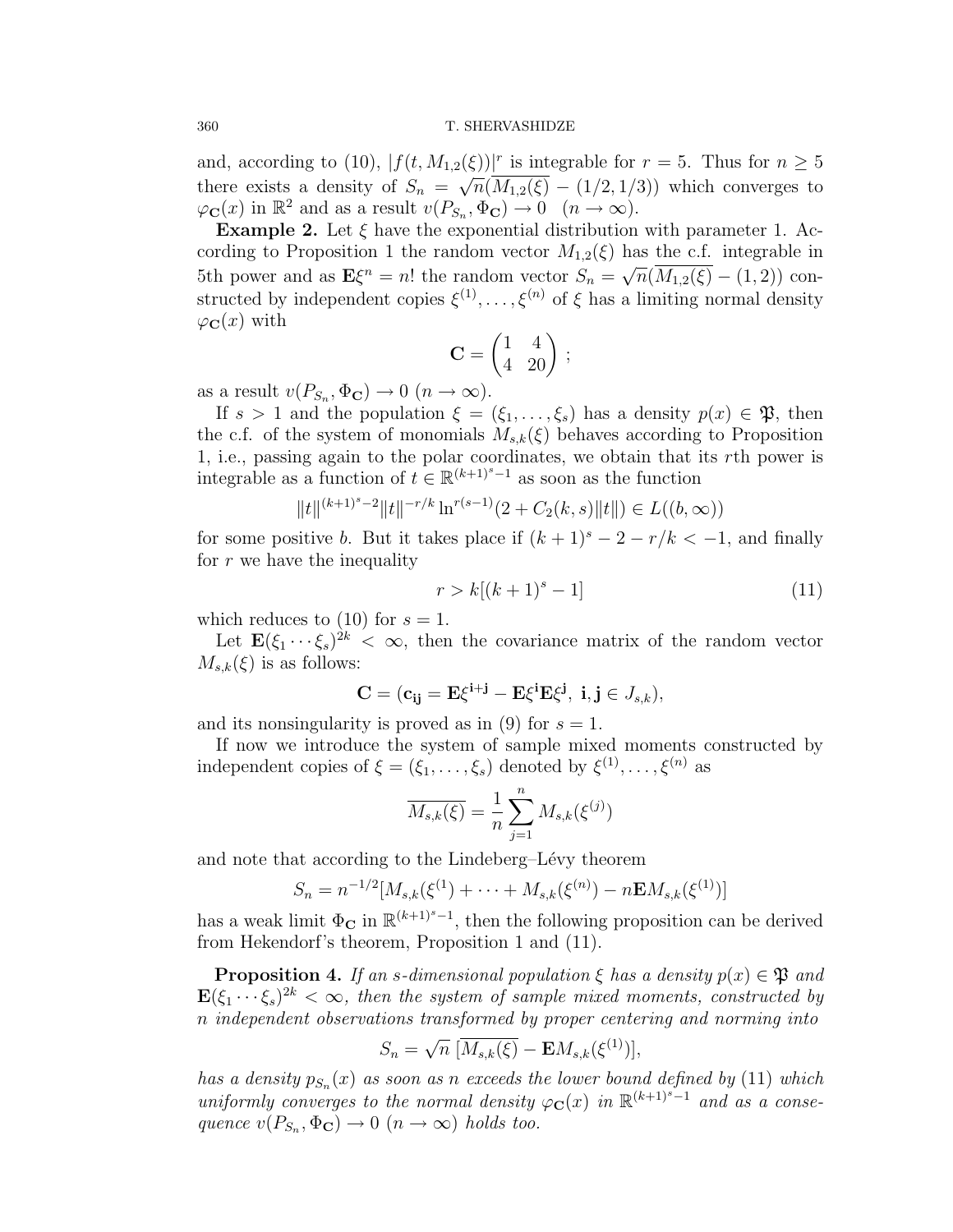#### 360 T. SHERVASHIDZE

and, according to (10),  $|f(t, M_{1,2}(\xi))|^{r}$  is integrable for  $r = 5$ . Thus for  $n \geq 5$ there exists a density of  $S_n = \sqrt{n}(M_{1,2}(\xi) - (1/2, 1/3))$  which converges to  $\varphi_{\mathbf{C}}(x)$  in  $\mathbb{R}^2$  and as a result  $v(P_{S_n}, \Phi_{\mathbf{C}}) \to 0 \quad (n \to \infty)$ .

**Example 2.** Let  $\xi$  have the exponential distribution with parameter 1. According to Proposition 1 the random vector  $M_{1,2}(\xi)$  has the c.f. integrable in 5th power and as  $\mathbf{E}\xi^{n} = n!$  the random vector  $S_{n} = \sqrt{n}(\overline{M_{1,2}(\xi)} - (1,2))$  constructed by independent copies  $\xi^{(1)}, \ldots, \xi^{(n)}$  of  $\xi$  has a limiting normal density  $\varphi_{\mathbf{C}}(x)$  with  $\overline{a}$ 

$$
\mathbf{C} = \begin{pmatrix} 1 & 4 \\ 4 & 20 \end{pmatrix}
$$

;

as a result  $v(P_{S_n}, \Phi_{\mathbf{C}}) \to 0 \ (n \to \infty)$ .

If  $s > 1$  and the population  $\xi = (\xi_1, \ldots, \xi_s)$  has a density  $p(x) \in \mathfrak{P}$ , then the c.f. of the system of monomials  $M_{s,k}(\xi)$  behaves according to Proposition 1, i.e., passing again to the polar coordinates, we obtain that its rth power is integrable as a function of  $t \in \mathbb{R}^{(k+1)^s-1}$  as soon as the function

$$
||t||^{(k+1)^s-2}||t||^{-r/k}\ln^{r(s-1)}(2+C_2(k,s)||t||) \in L((b,\infty))
$$

for some positive b. But it takes place if  $(k + 1)^s - 2 - r/k < -1$ , and finally for  $r$  we have the inequality

$$
r > k[(k+1)^s - 1]
$$
\n(11)

which reduces to (10) for  $s = 1$ .

Let  $\mathbf{E}(\xi_1 \cdots \xi_s)^{2k} < \infty$ , then the covariance matrix of the random vector  $M_{s,k}(\xi)$  is as follows:

$$
\mathbf{C}=(\mathbf{c_{ij}}=\mathbf{E}\xi^{i+j}-\mathbf{E}\xi^{i}\mathbf{E}\xi^{j},\ i,j\in J_{s,k}),
$$

and its nonsingularity is proved as in (9) for  $s = 1$ .

If now we introduce the system of sample mixed moments constructed by independent copies of  $\xi = (\xi_1, \ldots, \xi_s)$  denoted by  $\xi^{(1)}, \ldots, \xi^{(n)}$  as

$$
\overline{M_{s,k}(\xi)} = \frac{1}{n} \sum_{j=1}^{n} M_{s,k}(\xi^{(j)})
$$

and note that according to the Lindeberg–Lévy theorem

$$
S_n = n^{-1/2} [M_{s,k}(\xi^{(1)}) + \cdots + M_{s,k}(\xi^{(n)}) - n \mathbf{E} M_{s,k}(\xi^{(1)})]
$$

has a weak limit  $\Phi_{\mathbf{C}}$  in  $\mathbb{R}^{(k+1)^s-1}$ , then the following proposition can be derived from Hekendorf's theorem, Proposition 1 and (11).

**Proposition 4.** If an s-dimensional population  $\xi$  has a density  $p(x) \in \mathfrak{P}$  and  $\mathbf{E}(\xi_1 \cdots \xi_s)^{2k} < \infty$ , then the system of sample mixed moments, constructed by n independent observations transformed by proper centering and norming into

$$
S_n = \sqrt{n} \, [\overline{M_{s,k}(\xi)} - \mathbf{E} M_{s,k}(\xi^{(1)})],
$$

has a density  $p_{S_n}(x)$  as soon as n exceeds the lower bound defined by (11) which uniformly converges to the normal density  $\varphi_{\mathbf{C}}(x)$  in  $\mathbb{R}^{(k+1)^s-1}$  and as a consequence  $v(P_{S_n}, \Phi_{\mathbf{C}}) \to 0 \ (n \to \infty)$  holds too.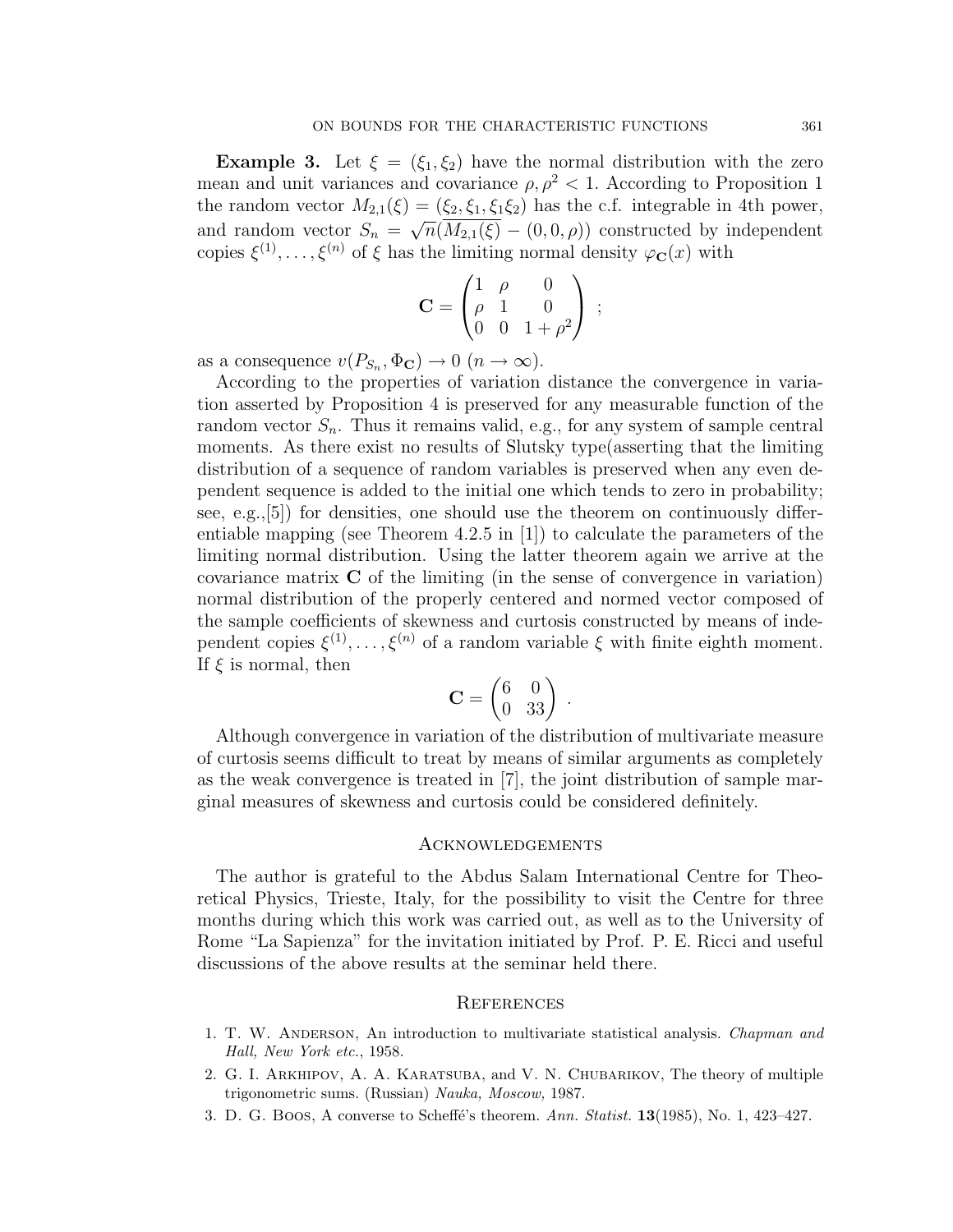**Example 3.** Let  $\xi = (\xi_1, \xi_2)$  have the normal distribution with the zero mean and unit variances and covariance  $\rho, \rho^2 < 1$ . According to Proposition 1 the random vector  $M_{2,1}(\xi) = (\xi_2, \xi_1, \xi_1 \xi_2)$  has the c.f. integrable in 4th power, and random vector  $S_n = \sqrt{n}(M_{2,1}(\xi) - (0,0,\rho))$  constructed by independent copies  $\xi^{(1)}, \ldots, \xi^{(n)}$  of  $\xi$  has the limiting normal density  $\varphi_{\mathbf{C}}(x)$  with 

$$
\mathbf{C} = \begin{pmatrix} 1 & \rho & 0 \\ \rho & 1 & 0 \\ 0 & 0 & 1 + \rho^2 \end{pmatrix} ;
$$

as a consequence  $v(P_{S_n}, \Phi_{\mathbf{C}}) \to 0 \ (n \to \infty)$ .

According to the properties of variation distance the convergence in variation asserted by Proposition 4 is preserved for any measurable function of the random vector  $S_n$ . Thus it remains valid, e.g., for any system of sample central moments. As there exist no results of Slutsky type(asserting that the limiting distribution of a sequence of random variables is preserved when any even dependent sequence is added to the initial one which tends to zero in probability; see, e.g.,[5]) for densities, one should use the theorem on continuously differentiable mapping (see Theorem 4.2.5 in [1]) to calculate the parameters of the limiting normal distribution. Using the latter theorem again we arrive at the covariance matrix C of the limiting (in the sense of convergence in variation) normal distribution of the properly centered and normed vector composed of the sample coefficients of skewness and curtosis constructed by means of independent copies  $\xi^{(1)}, \ldots, \xi^{(n)}$  of a random variable  $\xi$  with finite eighth moment. If  $\xi$  is normal, then  $\overline{a}$ 

$$
\mathbf{C} = \begin{pmatrix} 6 & 0 \\ 0 & 33 \end{pmatrix} \; .
$$

Although convergence in variation of the distribution of multivariate measure of curtosis seems difficult to treat by means of similar arguments as completely as the weak convergence is treated in [7], the joint distribution of sample marginal measures of skewness and curtosis could be considered definitely.

## Acknowledgements

The author is grateful to the Abdus Salam International Centre for Theoretical Physics, Trieste, Italy, for the possibility to visit the Centre for three months during which this work was carried out, as well as to the University of Rome "La Sapienza" for the invitation initiated by Prof. P. E. Ricci and useful discussions of the above results at the seminar held there.

## **REFERENCES**

- 1. T. W. ANDERSON, An introduction to multivariate statistical analysis. Chapman and Hall, New York etc., 1958.
- 2. G. I. Arkhipov, A. A. Karatsuba, and V. N. Chubarikov, The theory of multiple trigonometric sums. (Russian) Nauka, Moscow, 1987.
- 3. D. G. Boos, A converse to Scheffé's theorem. Ann. Statist.  $13(1985)$ , No. 1,  $423-427$ .